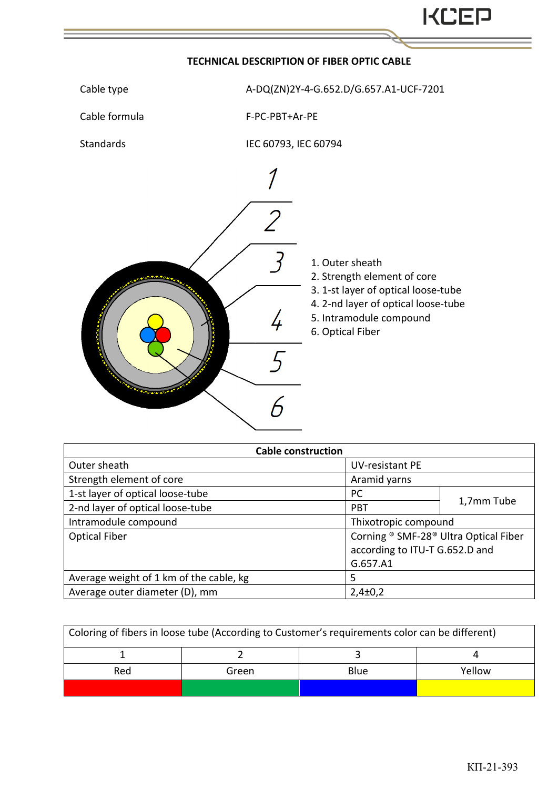

## **TECHNICAL DESCRIPTION OF FIBER OPTIC CABLE**



Cable formula F-PС-PBT+Ar-PE

Standards IEC 60793, IEC 60794



|  | 1. Outer sheath |  |
|--|-----------------|--|
|  |                 |  |

2. Strength element of core

3. 1-st layer of optical loose-tube

4. 2-nd layer of optical loose-tube

5. Intramodule compound

6. Optical Fiber

| <b>Cable construction</b>               |                                       |            |  |  |
|-----------------------------------------|---------------------------------------|------------|--|--|
| Outer sheath                            | <b>UV-resistant PE</b>                |            |  |  |
| Strength element of core                | Aramid yarns                          |            |  |  |
| 1-st layer of optical loose-tube        | PC                                    |            |  |  |
| 2-nd layer of optical loose-tube        | <b>PBT</b>                            | 1,7mm Tube |  |  |
| Intramodule compound                    | Thixotropic compound                  |            |  |  |
| <b>Optical Fiber</b>                    | Corning ® SMF-28® Ultra Optical Fiber |            |  |  |
|                                         | according to ITU-T G.652.D and        |            |  |  |
|                                         | G.657.A1                              |            |  |  |
| Average weight of 1 km of the cable, kg | 5                                     |            |  |  |
| Average outer diameter (D), mm          | $2,4\pm0,2$                           |            |  |  |

| Coloring of fibers in loose tube (According to Customer's requirements color can be different) |       |             |        |  |  |  |
|------------------------------------------------------------------------------------------------|-------|-------------|--------|--|--|--|
|                                                                                                |       |             |        |  |  |  |
| Red                                                                                            | Green | <b>Blue</b> | Yellow |  |  |  |
|                                                                                                |       |             |        |  |  |  |